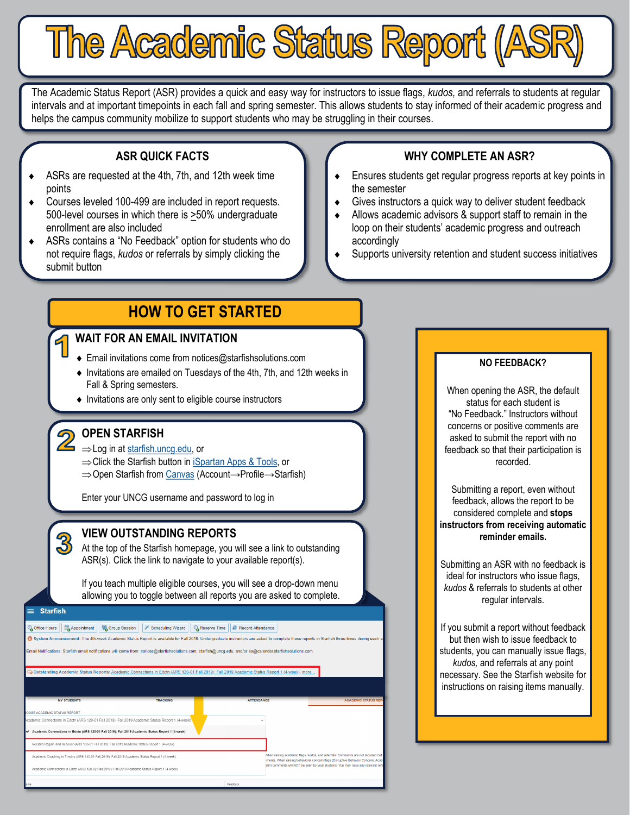The Academic Status Report (ASR) provides a quick and easy way for instructors to issue flags, *kudos,* and referrals to students at regular intervals and at important timepoints in each fall and spring semester. This allows students to stay informed of their academic progress and helps the campus community mobilize to support students who may be struggling in their courses.

The Academic Status Report (ASR)

## **ASR QUICK FACTS**

- ASRs are requested at the 4th, 7th, and 12th week time points
- Courses leveled 100-499 are included in report requests. 500-level courses in which there is >50% undergraduate enrollment are also included
- ASRs contains a "No Feedback" option for students who do not require flags, *kudos* or referrals by simply clicking the submit button

# **HOW TO GET STARTED**

# **WAIT FOR AN EMAIL INVITATION**

- ◆ Email invitations come from notices@starfishsolutions.com
- Invitations are emailed on Tuesdays of the 4th, 7th, and 12th weeks in Fall & Spring semesters.
- $\bullet$  Invitations are only sent to eligible course instructors

# **OPEN STARFISH**

- $\overline{Z}$   $\Rightarrow$  Log in at [starfish.uncg.edu,](http://starfish.uncg.edu) or
	- $\Rightarrow$  Click the Starfish button in [iSpartan Apps & Tools,](https://ispartan.uncg.edu/) or
	- ⇒ Open Starfish from [Canvas](http://canvas.uncg.edu/) (Account→Profile→Starfish)

Enter your UNCG username and password to log in

# **VIEW OUTSTANDING REPORTS**

At the top of the Starfish homepage, you will see a link to outstanding ASR(s). Click the link to navigate to your available report(s).

If you teach multiple eligible courses, you will see a drop-down menu allowing you to toggle between all reports you are asked to complete.

#### **Starfish**

 $\overline{3}$ 

| Office Hours $\left[\begin{array}{c c} \mathbb{B}^2 & \mathbb{B}^2 \end{array}\right]$ Group Session $\left[\begin{array}{c c} \mathscr{V} & \mathcal{V} \end{array}\right]$ Scheduling Wizard $\left[\begin{array}{c c} \mathbb{Q} & \mathbb{Q} \end{array}\right]$ Record Attendance |  |  |
|----------------------------------------------------------------------------------------------------------------------------------------------------------------------------------------------------------------------------------------------------------------------------------------|--|--|
|----------------------------------------------------------------------------------------------------------------------------------------------------------------------------------------------------------------------------------------------------------------------------------------|--|--|

.<br>Status Renort is available for Fall 2019, Undergraduate instructors are

| .<br>Email Notifications: Starfish email notifications will come from: notices@starfishsolutions.com; starfish@uncq.edu; and/or ea@calendar.starfishsolutions.c |  |  |
|-----------------------------------------------------------------------------------------------------------------------------------------------------------------|--|--|
|                                                                                                                                                                 |  |  |

|                                                                                                   | Outstanding Academic Status Reports: Academic Connections in Edctn (ARS 120-01 Fall 2019): Fall 2019 Academic Status Report 1 (4-week), more                  |                   |                                                                             |
|---------------------------------------------------------------------------------------------------|---------------------------------------------------------------------------------------------------------------------------------------------------------------|-------------------|-----------------------------------------------------------------------------|
|                                                                                                   |                                                                                                                                                               |                   |                                                                             |
| <b>MY STUDENTS</b>                                                                                | <b>TRACKING</b>                                                                                                                                               | <b>ATTENDANCE</b> | <b>ACADEMIC STATUS</b>                                                      |
| OOSE ACADEMIC STATUS REPORT                                                                       |                                                                                                                                                               |                   |                                                                             |
| (cademic Connections in Edctn (ARS 120-01 Fall 2019): Fall 2019 Academic Status Report 1 (4-week  |                                                                                                                                                               | $\checkmark$      |                                                                             |
| Academic Connections in Edctn (ARS 120-01 Fall 2019): Fall 2019 Academic Status Report 1 (4-week) |                                                                                                                                                               |                   |                                                                             |
| Reclaim Regain and Recover (ARS 100-01 Fall 2019): Fall 2019 Academic Status Report 1 (4-week)    |                                                                                                                                                               |                   |                                                                             |
| Academic Coaching in Trnstns (ARS 140-01 Fall 2019): Fall 2019 Academic Status Report 1 (4-week)  | When raising academic flags, kudos, and referrals: Comments are not required<br>iments. When raising behavioral concern flags (Disruptive Behavior Concern, A |                   |                                                                             |
| Academic Connections in Edctn (ARS 120-02 Fall 2019): Fall 2019 Academic Status Report 1 (4-week) |                                                                                                                                                               |                   | atim comments will NOT be seen by your students. You may raise any relevant |
|                                                                                                   |                                                                                                                                                               |                   |                                                                             |

# **WHY COMPLETE AN ASR?**

- Ensures students get regular progress reports at key points in the semester
- Gives instructors a quick way to deliver student feedback
- Allows academic advisors & support staff to remain in the loop on their students' academic progress and outreach accordingly
- Supports university retention and student success initiatives

#### **NO FEEDBACK?**

When opening the ASR, the default status for each student is "No Feedback." Instructors without concerns or positive comments are asked to submit the report with no feedback so that their participation is recorded.

Submitting a report, even without feedback, allows the report to be considered complete and **stops instructors from receiving automatic reminder emails.**

Submitting an ASR with no feedback is ideal for instructors who issue flags, *kudos* & referrals to students at other regular intervals.

If you submit a report without feedback but then wish to issue feedback to students, you can manually issue flags, *kudos,* and referrals at any point necessary. See the Starfish website for instructions on raising items manually.